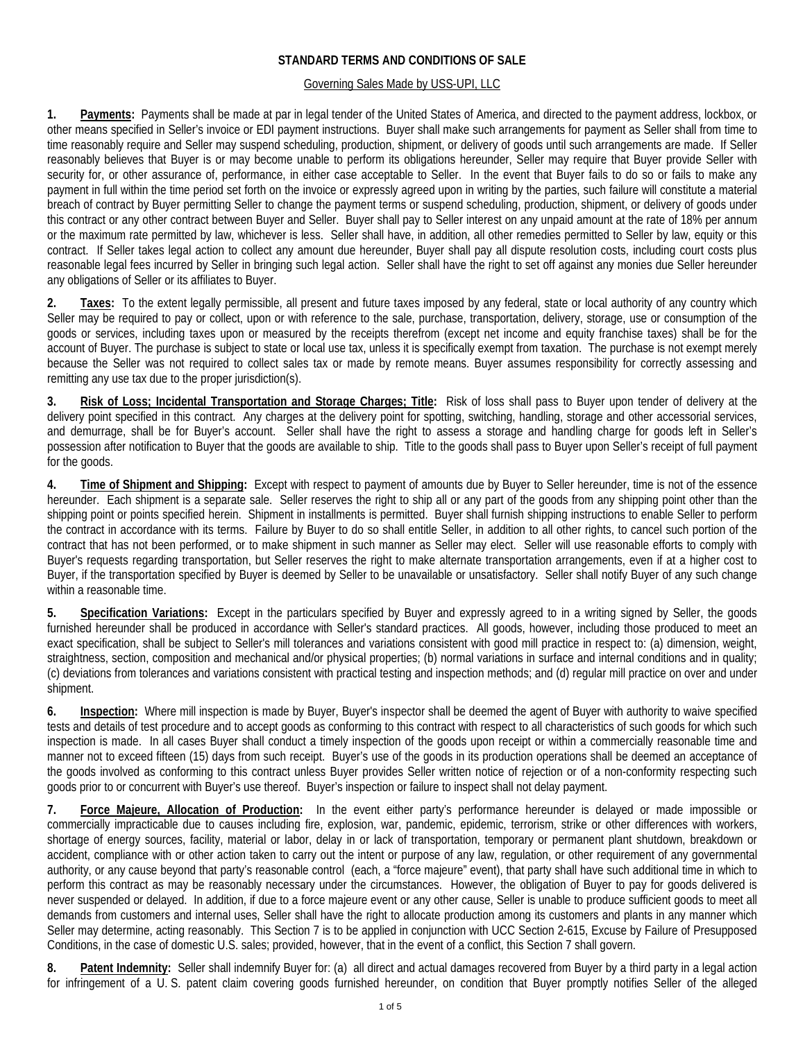# **STANDARD TERMS AND CONDITIONS OF SALE**

#### Governing Sales Made by USS-UPI, LLC

**1. Payments:** Payments shall be made at par in legal tender of the United States of America, and directed to the payment address, lockbox, or other means specified in Seller's invoice or EDI payment instructions. Buyer shall make such arrangements for payment as Seller shall from time to time reasonably require and Seller may suspend scheduling, production, shipment, or delivery of goods until such arrangements are made. If Seller reasonably believes that Buyer is or may become unable to perform its obligations hereunder, Seller may require that Buyer provide Seller with security for, or other assurance of, performance, in either case acceptable to Seller. In the event that Buyer fails to do so or fails to make any payment in full within the time period set forth on the invoice or expressly agreed upon in writing by the parties, such failure will constitute a material breach of contract by Buyer permitting Seller to change the payment terms or suspend scheduling, production, shipment, or delivery of goods under this contract or any other contract between Buyer and Seller. Buyer shall pay to Seller interest on any unpaid amount at the rate of 18% per annum or the maximum rate permitted by law, whichever is less. Seller shall have, in addition, all other remedies permitted to Seller by law, equity or this contract. If Seller takes legal action to collect any amount due hereunder, Buyer shall pay all dispute resolution costs, including court costs plus reasonable legal fees incurred by Seller in bringing such legal action. Seller shall have the right to set off against any monies due Seller hereunder any obligations of Seller or its affiliates to Buyer.

**2. Taxes:** To the extent legally permissible, all present and future taxes imposed by any federal, state or local authority of any country which Seller may be required to pay or collect, upon or with reference to the sale, purchase, transportation, delivery, storage, use or consumption of the goods or services, including taxes upon or measured by the receipts therefrom (except net income and equity franchise taxes) shall be for the account of Buyer. The purchase is subject to state or local use tax, unless it is specifically exempt from taxation. The purchase is not exempt merely because the Seller was not required to collect sales tax or made by remote means. Buyer assumes responsibility for correctly assessing and remitting any use tax due to the proper jurisdiction(s).

**3. Risk of Loss; Incidental Transportation and Storage Charges; Title:** Risk of loss shall pass to Buyer upon tender of delivery at the delivery point specified in this contract. Any charges at the delivery point for spotting, switching, handling, storage and other accessorial services, and demurrage, shall be for Buyer's account. Seller shall have the right to assess a storage and handling charge for goods left in Seller's possession after notification to Buyer that the goods are available to ship. Title to the goods shall pass to Buyer upon Seller's receipt of full payment for the goods.

**4. Time of Shipment and Shipping:** Except with respect to payment of amounts due by Buyer to Seller hereunder, time is not of the essence hereunder. Each shipment is a separate sale. Seller reserves the right to ship all or any part of the goods from any shipping point other than the shipping point or points specified herein. Shipment in installments is permitted. Buyer shall furnish shipping instructions to enable Seller to perform the contract in accordance with its terms. Failure by Buyer to do so shall entitle Seller, in addition to all other rights, to cancel such portion of the contract that has not been performed, or to make shipment in such manner as Seller may elect. Seller will use reasonable efforts to comply with Buyer's requests regarding transportation, but Seller reserves the right to make alternate transportation arrangements, even if at a higher cost to Buyer, if the transportation specified by Buyer is deemed by Seller to be unavailable or unsatisfactory. Seller shall notify Buyer of any such change within a reasonable time.

**5. Specification Variations:** Except in the particulars specified by Buyer and expressly agreed to in a writing signed by Seller, the goods furnished hereunder shall be produced in accordance with Seller's standard practices. All goods, however, including those produced to meet an exact specification, shall be subject to Seller's mill tolerances and variations consistent with good mill practice in respect to: (a) dimension, weight, straightness, section, composition and mechanical and/or physical properties; (b) normal variations in surface and internal conditions and in quality; (c) deviations from tolerances and variations consistent with practical testing and inspection methods; and (d) regular mill practice on over and under shipment.

**6. Inspection:** Where mill inspection is made by Buyer, Buyer's inspector shall be deemed the agent of Buyer with authority to waive specified tests and details of test procedure and to accept goods as conforming to this contract with respect to all characteristics of such goods for which such inspection is made. In all cases Buyer shall conduct a timely inspection of the goods upon receipt or within a commercially reasonable time and manner not to exceed fifteen (15) days from such receipt. Buyer's use of the goods in its production operations shall be deemed an acceptance of the goods involved as conforming to this contract unless Buyer provides Seller written notice of rejection or of a non-conformity respecting such goods prior to or concurrent with Buyer's use thereof. Buyer's inspection or failure to inspect shall not delay payment.

**7. Force Majeure, Allocation of Production:** In the event either party's performance hereunder is delayed or made impossible or commercially impracticable due to causes including fire, explosion, war, pandemic, epidemic, terrorism, strike or other differences with workers, shortage of energy sources, facility, material or labor, delay in or lack of transportation, temporary or permanent plant shutdown, breakdown or accident, compliance with or other action taken to carry out the intent or purpose of any law, regulation, or other requirement of any governmental authority, or any cause beyond that party's reasonable control (each, a "force majeure" event), that party shall have such additional time in which to perform this contract as may be reasonably necessary under the circumstances. However, the obligation of Buyer to pay for goods delivered is never suspended or delayed. In addition, if due to a force majeure event or any other cause, Seller is unable to produce sufficient goods to meet all demands from customers and internal uses, Seller shall have the right to allocate production among its customers and plants in any manner which Seller may determine, acting reasonably. This Section 7 is to be applied in conjunction with UCC Section 2-615, Excuse by Failure of Presupposed Conditions, in the case of domestic U.S. sales; provided, however, that in the event of a conflict, this Section 7 shall govern.

8. Patent Indemnity: Seller shall indemnify Buyer for: (a) all direct and actual damages recovered from Buyer by a third party in a legal action for infringement of a U. S. patent claim covering goods furnished hereunder, on condition that Buyer promptly notifies Seller of the alleged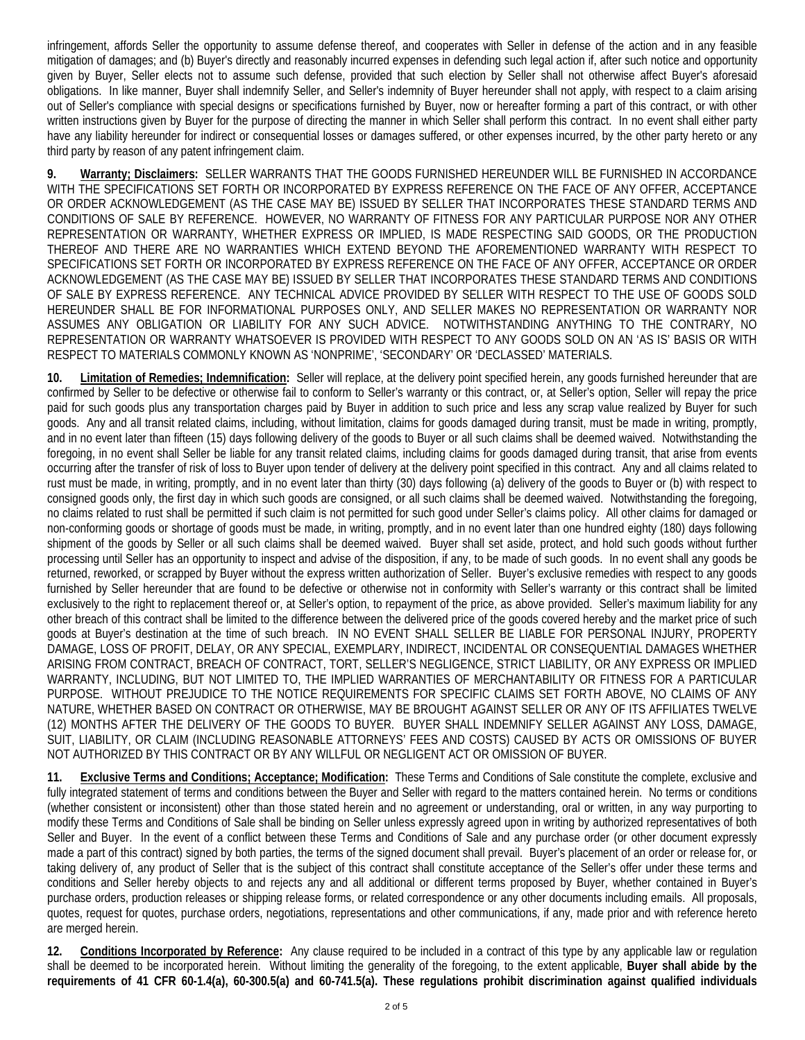infringement, affords Seller the opportunity to assume defense thereof, and cooperates with Seller in defense of the action and in any feasible mitigation of damages; and (b) Buyer's directly and reasonably incurred expenses in defending such legal action if, after such notice and opportunity given by Buyer, Seller elects not to assume such defense, provided that such election by Seller shall not otherwise affect Buyer's aforesaid obligations. In like manner, Buyer shall indemnify Seller, and Seller's indemnity of Buyer hereunder shall not apply, with respect to a claim arising out of Seller's compliance with special designs or specifications furnished by Buyer, now or hereafter forming a part of this contract, or with other written instructions given by Buyer for the purpose of directing the manner in which Seller shall perform this contract. In no event shall either party have any liability hereunder for indirect or consequential losses or damages suffered, or other expenses incurred, by the other party hereto or any third party by reason of any patent infringement claim.

**9. Warranty; Disclaimers:** SELLER WARRANTS THAT THE GOODS FURNISHED HEREUNDER WILL BE FURNISHED IN ACCORDANCE WITH THE SPECIFICATIONS SET FORTH OR INCORPORATED BY EXPRESS REFERENCE ON THE FACE OF ANY OFFER, ACCEPTANCE OR ORDER ACKNOWLEDGEMENT (AS THE CASE MAY BE) ISSUED BY SELLER THAT INCORPORATES THESE STANDARD TERMS AND CONDITIONS OF SALE BY REFERENCE. HOWEVER, NO WARRANTY OF FITNESS FOR ANY PARTICULAR PURPOSE NOR ANY OTHER REPRESENTATION OR WARRANTY, WHETHER EXPRESS OR IMPLIED, IS MADE RESPECTING SAID GOODS, OR THE PRODUCTION THEREOF AND THERE ARE NO WARRANTIES WHICH EXTEND BEYOND THE AFOREMENTIONED WARRANTY WITH RESPECT TO SPECIFICATIONS SET FORTH OR INCORPORATED BY EXPRESS REFERENCE ON THE FACE OF ANY OFFER, ACCEPTANCE OR ORDER ACKNOWLEDGEMENT (AS THE CASE MAY BE) ISSUED BY SELLER THAT INCORPORATES THESE STANDARD TERMS AND CONDITIONS OF SALE BY EXPRESS REFERENCE. ANY TECHNICAL ADVICE PROVIDED BY SELLER WITH RESPECT TO THE USE OF GOODS SOLD HEREUNDER SHALL BE FOR INFORMATIONAL PURPOSES ONLY, AND SELLER MAKES NO REPRESENTATION OR WARRANTY NOR ASSUMES ANY OBLIGATION OR LIABILITY FOR ANY SUCH ADVICE. NOTWITHSTANDING ANYTHING TO THE CONTRARY, NO REPRESENTATION OR WARRANTY WHATSOEVER IS PROVIDED WITH RESPECT TO ANY GOODS SOLD ON AN 'AS IS' BASIS OR WITH RESPECT TO MATERIALS COMMONLY KNOWN AS 'NONPRIME', 'SECONDARY' OR 'DECLASSED' MATERIALS.

**10. Limitation of Remedies; Indemnification:** Seller will replace, at the delivery point specified herein, any goods furnished hereunder that are confirmed by Seller to be defective or otherwise fail to conform to Seller's warranty or this contract, or, at Seller's option, Seller will repay the price paid for such goods plus any transportation charges paid by Buyer in addition to such price and less any scrap value realized by Buyer for such goods. Any and all transit related claims, including, without limitation, claims for goods damaged during transit, must be made in writing, promptly, and in no event later than fifteen (15) days following delivery of the goods to Buyer or all such claims shall be deemed waived. Notwithstanding the foregoing, in no event shall Seller be liable for any transit related claims, including claims for goods damaged during transit, that arise from events occurring after the transfer of risk of loss to Buyer upon tender of delivery at the delivery point specified in this contract. Any and all claims related to rust must be made, in writing, promptly, and in no event later than thirty (30) days following (a) delivery of the goods to Buyer or (b) with respect to consigned goods only, the first day in which such goods are consigned, or all such claims shall be deemed waived. Notwithstanding the foregoing, no claims related to rust shall be permitted if such claim is not permitted for such good under Seller's claims policy. All other claims for damaged or non-conforming goods or shortage of goods must be made, in writing, promptly, and in no event later than one hundred eighty (180) days following shipment of the goods by Seller or all such claims shall be deemed waived. Buyer shall set aside, protect, and hold such goods without further processing until Seller has an opportunity to inspect and advise of the disposition, if any, to be made of such goods. In no event shall any goods be returned, reworked, or scrapped by Buyer without the express written authorization of Seller. Buyer's exclusive remedies with respect to any goods furnished by Seller hereunder that are found to be defective or otherwise not in conformity with Seller's warranty or this contract shall be limited exclusively to the right to replacement thereof or, at Seller's option, to repayment of the price, as above provided. Seller's maximum liability for any other breach of this contract shall be limited to the difference between the delivered price of the goods covered hereby and the market price of such goods at Buyer's destination at the time of such breach. IN NO EVENT SHALL SELLER BE LIABLE FOR PERSONAL INJURY, PROPERTY DAMAGE, LOSS OF PROFIT, DELAY, OR ANY SPECIAL, EXEMPLARY, INDIRECT, INCIDENTAL OR CONSEQUENTIAL DAMAGES WHETHER ARISING FROM CONTRACT, BREACH OF CONTRACT, TORT, SELLER'S NEGLIGENCE, STRICT LIABILITY, OR ANY EXPRESS OR IMPLIED WARRANTY, INCLUDING, BUT NOT LIMITED TO, THE IMPLIED WARRANTIES OF MERCHANTABILITY OR FITNESS FOR A PARTICULAR PURPOSE. WITHOUT PREJUDICE TO THE NOTICE REQUIREMENTS FOR SPECIFIC CLAIMS SET FORTH ABOVE, NO CLAIMS OF ANY NATURE, WHETHER BASED ON CONTRACT OR OTHERWISE, MAY BE BROUGHT AGAINST SELLER OR ANY OF ITS AFFILIATES TWELVE (12) MONTHS AFTER THE DELIVERY OF THE GOODS TO BUYER. BUYER SHALL INDEMNIFY SELLER AGAINST ANY LOSS, DAMAGE, SUIT, LIABILITY, OR CLAIM (INCLUDING REASONABLE ATTORNEYS' FEES AND COSTS) CAUSED BY ACTS OR OMISSIONS OF BUYER NOT AUTHORIZED BY THIS CONTRACT OR BY ANY WILLFUL OR NEGLIGENT ACT OR OMISSION OF BUYER.

**11. Exclusive Terms and Conditions; Acceptance; Modification:** These Terms and Conditions of Sale constitute the complete, exclusive and fully integrated statement of terms and conditions between the Buyer and Seller with regard to the matters contained herein. No terms or conditions (whether consistent or inconsistent) other than those stated herein and no agreement or understanding, oral or written, in any way purporting to modify these Terms and Conditions of Sale shall be binding on Seller unless expressly agreed upon in writing by authorized representatives of both Seller and Buyer. In the event of a conflict between these Terms and Conditions of Sale and any purchase order (or other document expressly made a part of this contract) signed by both parties, the terms of the signed document shall prevail. Buyer's placement of an order or release for, or taking delivery of, any product of Seller that is the subject of this contract shall constitute acceptance of the Seller's offer under these terms and conditions and Seller hereby objects to and rejects any and all additional or different terms proposed by Buyer, whether contained in Buyer's purchase orders, production releases or shipping release forms, or related correspondence or any other documents including emails. All proposals, quotes, request for quotes, purchase orders, negotiations, representations and other communications, if any, made prior and with reference hereto are merged herein.

**12. Conditions Incorporated by Reference:** Any clause required to be included in a contract of this type by any applicable law or regulation shall be deemed to be incorporated herein. Without limiting the generality of the foregoing, to the extent applicable, **Buyer shall abide by the requirements of 41 CFR 60-1.4(a), 60-300.5(a) and 60-741.5(a). These regulations prohibit discrimination against qualified individuals**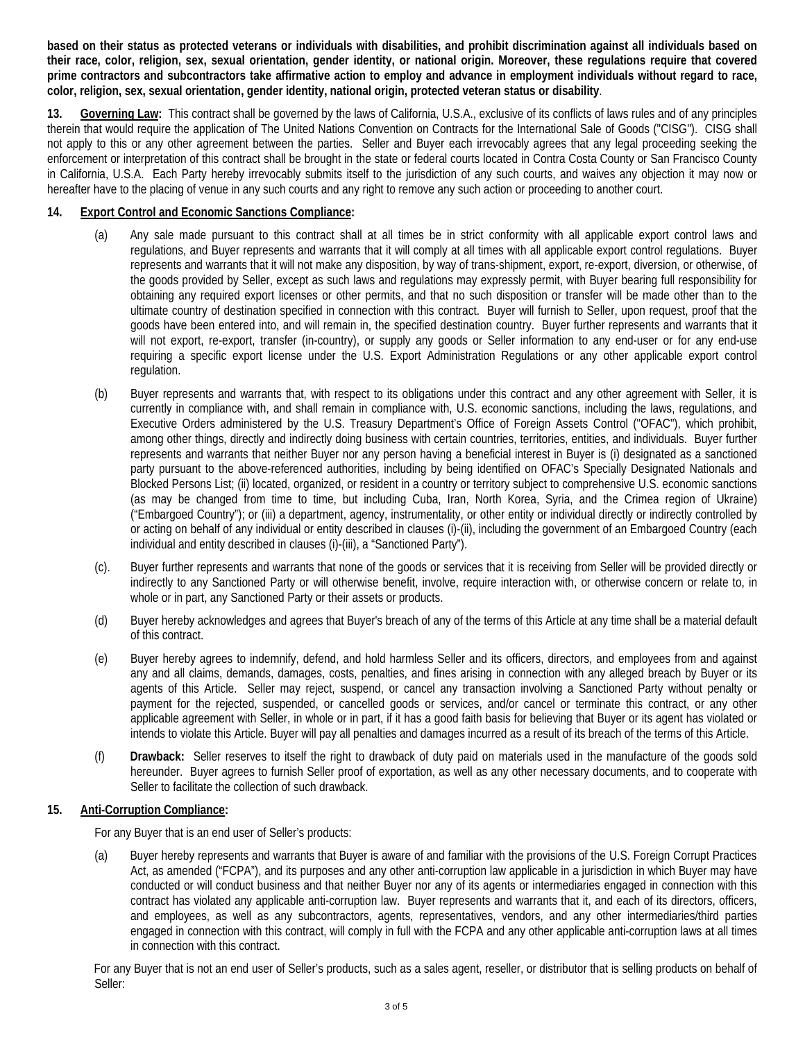**based on their status as protected veterans or individuals with disabilities, and prohibit discrimination against all individuals based on their race, color, religion, sex, sexual orientation, gender identity, or national origin. Moreover, these regulations require that covered prime contractors and subcontractors take affirmative action to employ and advance in employment individuals without regard to race, color, religion, sex, sexual orientation, gender identity, national origin, protected veteran status or disability**.

**13. Governing Law:** This contract shall be governed by the laws of California, U.S.A., exclusive of its conflicts of laws rules and of any principles therein that would require the application of The United Nations Convention on Contracts for the International Sale of Goods ("CISG"). CISG shall not apply to this or any other agreement between the parties. Seller and Buyer each irrevocably agrees that any legal proceeding seeking the enforcement or interpretation of this contract shall be brought in the state or federal courts located in Contra Costa County or San Francisco County in California, U.S.A. Each Party hereby irrevocably submits itself to the jurisdiction of any such courts, and waives any objection it may now or hereafter have to the placing of venue in any such courts and any right to remove any such action or proceeding to another court.

#### **14. Export Control and Economic Sanctions Compliance:**

- (a) Any sale made pursuant to this contract shall at all times be in strict conformity with all applicable export control laws and regulations, and Buyer represents and warrants that it will comply at all times with all applicable export control regulations. Buyer represents and warrants that it will not make any disposition, by way of trans-shipment, export, re-export, diversion, or otherwise, of the goods provided by Seller, except as such laws and regulations may expressly permit, with Buyer bearing full responsibility for obtaining any required export licenses or other permits, and that no such disposition or transfer will be made other than to the ultimate country of destination specified in connection with this contract. Buyer will furnish to Seller, upon request, proof that the goods have been entered into, and will remain in, the specified destination country. Buyer further represents and warrants that it will not export, re-export, transfer (in-country), or supply any goods or Seller information to any end-user or for any end-use requiring a specific export license under the U.S. Export Administration Regulations or any other applicable export control regulation.
- (b) Buyer represents and warrants that, with respect to its obligations under this contract and any other agreement with Seller, it is currently in compliance with, and shall remain in compliance with, U.S. economic sanctions, including the laws, regulations, and Executive Orders administered by the U.S. Treasury Department's Office of Foreign Assets Control ("OFAC"), which prohibit, among other things, directly and indirectly doing business with certain countries, territories, entities, and individuals. Buyer further represents and warrants that neither Buyer nor any person having a beneficial interest in Buyer is (i) designated as a sanctioned party pursuant to the above-referenced authorities, including by being identified on OFAC's Specially Designated Nationals and Blocked Persons List; (ii) located, organized, or resident in a country or territory subject to comprehensive U.S. economic sanctions (as may be changed from time to time, but including Cuba, Iran, North Korea, Syria, and the Crimea region of Ukraine) ("Embargoed Country"); or (iii) a department, agency, instrumentality, or other entity or individual directly or indirectly controlled by or acting on behalf of any individual or entity described in clauses (i)-(ii), including the government of an Embargoed Country (each individual and entity described in clauses (i)-(iii), a "Sanctioned Party").
- (c). Buyer further represents and warrants that none of the goods or services that it is receiving from Seller will be provided directly or indirectly to any Sanctioned Party or will otherwise benefit, involve, require interaction with, or otherwise concern or relate to, in whole or in part, any Sanctioned Party or their assets or products.
- (d) Buyer hereby acknowledges and agrees that Buyer's breach of any of the terms of this Article at any time shall be a material default of this contract.
- (e) Buyer hereby agrees to indemnify, defend, and hold harmless Seller and its officers, directors, and employees from and against any and all claims, demands, damages, costs, penalties, and fines arising in connection with any alleged breach by Buyer or its agents of this Article. Seller may reject, suspend, or cancel any transaction involving a Sanctioned Party without penalty or payment for the rejected, suspended, or cancelled goods or services, and/or cancel or terminate this contract, or any other applicable agreement with Seller, in whole or in part, if it has a good faith basis for believing that Buyer or its agent has violated or intends to violate this Article. Buyer will pay all penalties and damages incurred as a result of its breach of the terms of this Article.
- (f) **Drawback:** Seller reserves to itself the right to drawback of duty paid on materials used in the manufacture of the goods sold hereunder. Buyer agrees to furnish Seller proof of exportation, as well as any other necessary documents, and to cooperate with Seller to facilitate the collection of such drawback.

# **15. Anti-Corruption Compliance:**

For any Buyer that is an end user of Seller's products:

(a) Buyer hereby represents and warrants that Buyer is aware of and familiar with the provisions of the U.S. Foreign Corrupt Practices Act, as amended ("FCPA"), and its purposes and any other anti-corruption law applicable in a jurisdiction in which Buyer may have conducted or will conduct business and that neither Buyer nor any of its agents or intermediaries engaged in connection with this contract has violated any applicable anti-corruption law. Buyer represents and warrants that it, and each of its directors, officers, and employees, as well as any subcontractors, agents, representatives, vendors, and any other intermediaries/third parties engaged in connection with this contract, will comply in full with the FCPA and any other applicable anti-corruption laws at all times in connection with this contract.

For any Buyer that is not an end user of Seller's products, such as a sales agent, reseller, or distributor that is selling products on behalf of Seller: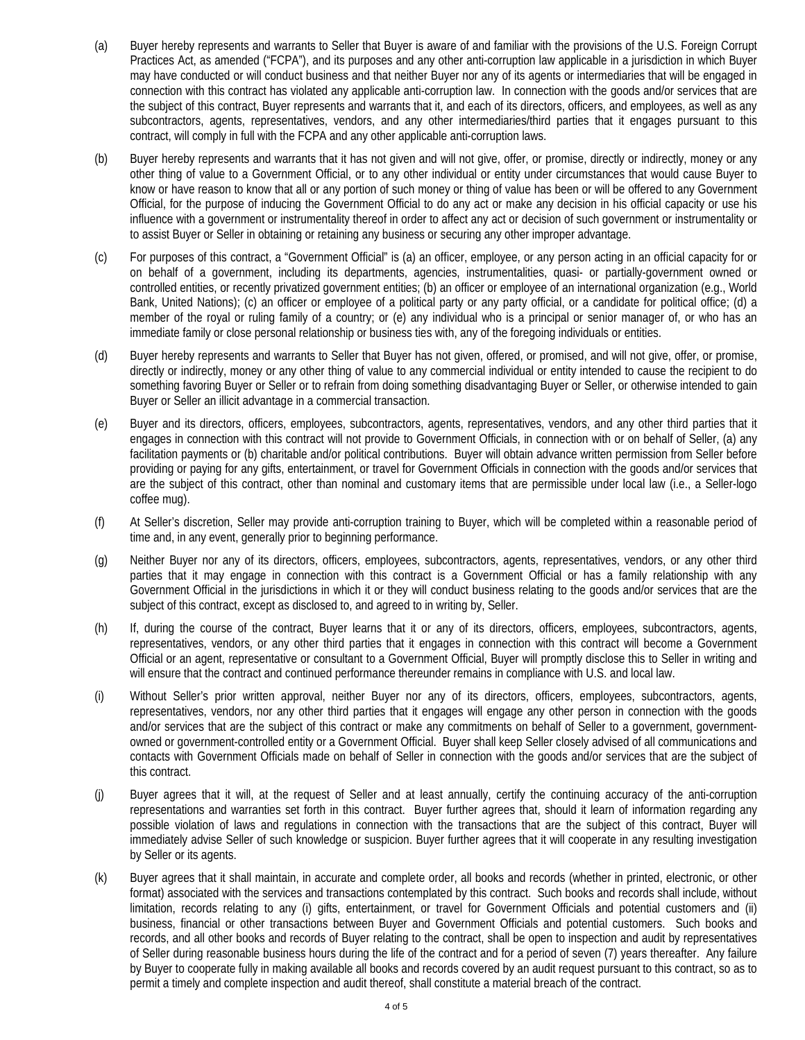- (a) Buyer hereby represents and warrants to Seller that Buyer is aware of and familiar with the provisions of the U.S. Foreign Corrupt Practices Act, as amended ("FCPA"), and its purposes and any other anti-corruption law applicable in a jurisdiction in which Buyer may have conducted or will conduct business and that neither Buyer nor any of its agents or intermediaries that will be engaged in connection with this contract has violated any applicable anti-corruption law. In connection with the goods and/or services that are the subject of this contract, Buyer represents and warrants that it, and each of its directors, officers, and employees, as well as any subcontractors, agents, representatives, vendors, and any other intermediaries/third parties that it engages pursuant to this contract, will comply in full with the FCPA and any other applicable anti-corruption laws.
- (b) Buyer hereby represents and warrants that it has not given and will not give, offer, or promise, directly or indirectly, money or any other thing of value to a Government Official, or to any other individual or entity under circumstances that would cause Buyer to know or have reason to know that all or any portion of such money or thing of value has been or will be offered to any Government Official, for the purpose of inducing the Government Official to do any act or make any decision in his official capacity or use his influence with a government or instrumentality thereof in order to affect any act or decision of such government or instrumentality or to assist Buyer or Seller in obtaining or retaining any business or securing any other improper advantage.
- (c) For purposes of this contract, a "Government Official" is (a) an officer, employee, or any person acting in an official capacity for or on behalf of a government, including its departments, agencies, instrumentalities, quasi- or partially-government owned or controlled entities, or recently privatized government entities; (b) an officer or employee of an international organization (e.g., World Bank, United Nations); (c) an officer or employee of a political party or any party official, or a candidate for political office; (d) a member of the royal or ruling family of a country; or (e) any individual who is a principal or senior manager of, or who has an immediate family or close personal relationship or business ties with, any of the foregoing individuals or entities.
- (d) Buyer hereby represents and warrants to Seller that Buyer has not given, offered, or promised, and will not give, offer, or promise, directly or indirectly, money or any other thing of value to any commercial individual or entity intended to cause the recipient to do something favoring Buyer or Seller or to refrain from doing something disadvantaging Buyer or Seller, or otherwise intended to gain Buyer or Seller an illicit advantage in a commercial transaction.
- (e) Buyer and its directors, officers, employees, subcontractors, agents, representatives, vendors, and any other third parties that it engages in connection with this contract will not provide to Government Officials, in connection with or on behalf of Seller, (a) any facilitation payments or (b) charitable and/or political contributions. Buyer will obtain advance written permission from Seller before providing or paying for any gifts, entertainment, or travel for Government Officials in connection with the goods and/or services that are the subject of this contract, other than nominal and customary items that are permissible under local law (i.e., a Seller-logo coffee mug).
- (f) At Seller's discretion, Seller may provide anti-corruption training to Buyer, which will be completed within a reasonable period of time and, in any event, generally prior to beginning performance.
- (g) Neither Buyer nor any of its directors, officers, employees, subcontractors, agents, representatives, vendors, or any other third parties that it may engage in connection with this contract is a Government Official or has a family relationship with any Government Official in the jurisdictions in which it or they will conduct business relating to the goods and/or services that are the subject of this contract, except as disclosed to, and agreed to in writing by, Seller.
- (h) If, during the course of the contract, Buyer learns that it or any of its directors, officers, employees, subcontractors, agents, representatives, vendors, or any other third parties that it engages in connection with this contract will become a Government Official or an agent, representative or consultant to a Government Official, Buyer will promptly disclose this to Seller in writing and will ensure that the contract and continued performance thereunder remains in compliance with U.S. and local law.
- (i) Without Seller's prior written approval, neither Buyer nor any of its directors, officers, employees, subcontractors, agents, representatives, vendors, nor any other third parties that it engages will engage any other person in connection with the goods and/or services that are the subject of this contract or make any commitments on behalf of Seller to a government, governmentowned or government-controlled entity or a Government Official. Buyer shall keep Seller closely advised of all communications and contacts with Government Officials made on behalf of Seller in connection with the goods and/or services that are the subject of this contract.
- (j) Buyer agrees that it will, at the request of Seller and at least annually, certify the continuing accuracy of the anti-corruption representations and warranties set forth in this contract. Buyer further agrees that, should it learn of information regarding any possible violation of laws and regulations in connection with the transactions that are the subject of this contract, Buyer will immediately advise Seller of such knowledge or suspicion. Buyer further agrees that it will cooperate in any resulting investigation by Seller or its agents.
- (k) Buyer agrees that it shall maintain, in accurate and complete order, all books and records (whether in printed, electronic, or other format) associated with the services and transactions contemplated by this contract. Such books and records shall include, without limitation, records relating to any (i) gifts, entertainment, or travel for Government Officials and potential customers and (ii) business, financial or other transactions between Buyer and Government Officials and potential customers. Such books and records, and all other books and records of Buyer relating to the contract, shall be open to inspection and audit by representatives of Seller during reasonable business hours during the life of the contract and for a period of seven (7) years thereafter. Any failure by Buyer to cooperate fully in making available all books and records covered by an audit request pursuant to this contract, so as to permit a timely and complete inspection and audit thereof, shall constitute a material breach of the contract.